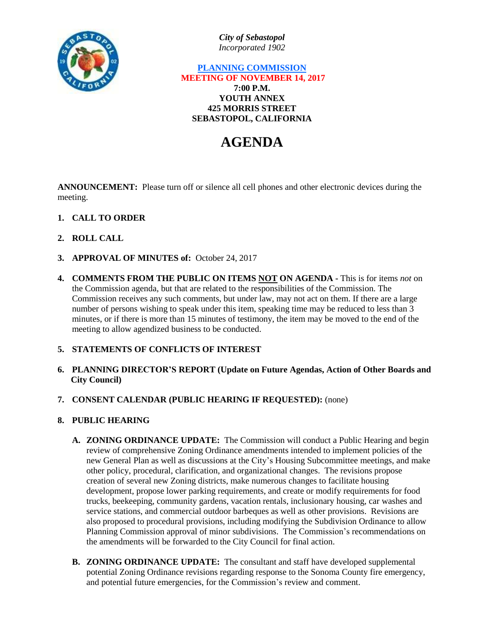

*City of Sebastopol Incorporated 1902*

# **PLANNING COMMISSION MEETING OF NOVEMBER 14, 2017 7:00 P.M. YOUTH ANNEX 425 MORRIS STREET SEBASTOPOL, CALIFORNIA**

# **AGENDA**

**ANNOUNCEMENT:** Please turn off or silence all cell phones and other electronic devices during the meeting.

- **1. CALL TO ORDER**
- **2. ROLL CALL**
- **3. APPROVAL OF MINUTES of:** October 24, 2017
- **4. COMMENTS FROM THE PUBLIC ON ITEMS NOT ON AGENDA -** This is for items *not* on the Commission agenda, but that are related to the responsibilities of the Commission. The Commission receives any such comments, but under law, may not act on them. If there are a large number of persons wishing to speak under this item, speaking time may be reduced to less than 3 minutes, or if there is more than 15 minutes of testimony, the item may be moved to the end of the meeting to allow agendized business to be conducted.

# **5. STATEMENTS OF CONFLICTS OF INTEREST**

- **6. PLANNING DIRECTOR'S REPORT (Update on Future Agendas, Action of Other Boards and City Council)**
- **7. CONSENT CALENDAR (PUBLIC HEARING IF REQUESTED):** (none)
- **8. PUBLIC HEARING**
	- **A. ZONING ORDINANCE UPDATE:** The Commission will conduct a Public Hearing and begin review of comprehensive Zoning Ordinance amendments intended to implement policies of the new General Plan as well as discussions at the City's Housing Subcommittee meetings, and make other policy, procedural, clarification, and organizational changes. The revisions propose creation of several new Zoning districts, make numerous changes to facilitate housing development, propose lower parking requirements, and create or modify requirements for food trucks, beekeeping, community gardens, vacation rentals, inclusionary housing, car washes and service stations, and commercial outdoor barbeques as well as other provisions. Revisions are also proposed to procedural provisions, including modifying the Subdivision Ordinance to allow Planning Commission approval of minor subdivisions. The Commission's recommendations on the amendments will be forwarded to the City Council for final action.
	- **B. ZONING ORDINANCE UPDATE:** The consultant and staff have developed supplemental potential Zoning Ordinance revisions regarding response to the Sonoma County fire emergency, and potential future emergencies, for the Commission's review and comment.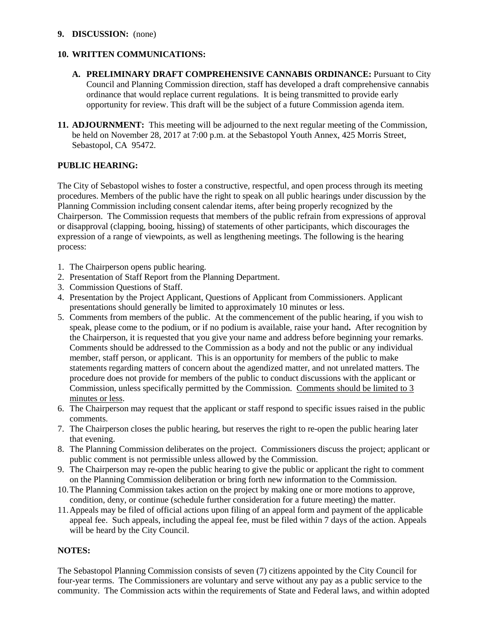#### **9. DISCUSSION:** (none)

### **10. WRITTEN COMMUNICATIONS:**

- **A. PRELIMINARY DRAFT COMPREHENSIVE CANNABIS ORDINANCE:** Pursuant to City Council and Planning Commission direction, staff has developed a draft comprehensive cannabis ordinance that would replace current regulations. It is being transmitted to provide early opportunity for review. This draft will be the subject of a future Commission agenda item.
- **11. ADJOURNMENT:** This meeting will be adjourned to the next regular meeting of the Commission, be held on November 28, 2017 at 7:00 p.m. at the Sebastopol Youth Annex, 425 Morris Street, Sebastopol, CA 95472.

# **PUBLIC HEARING:**

The City of Sebastopol wishes to foster a constructive, respectful, and open process through its meeting procedures. Members of the public have the right to speak on all public hearings under discussion by the Planning Commission including consent calendar items, after being properly recognized by the Chairperson. The Commission requests that members of the public refrain from expressions of approval or disapproval (clapping, booing, hissing) of statements of other participants, which discourages the expression of a range of viewpoints, as well as lengthening meetings. The following is the hearing process:

- 1. The Chairperson opens public hearing.
- 2. Presentation of Staff Report from the Planning Department.
- 3. Commission Questions of Staff.
- 4. Presentation by the Project Applicant, Questions of Applicant from Commissioners. Applicant presentations should generally be limited to approximately 10 minutes or less.
- 5. Comments from members of the public. At the commencement of the public hearing, if you wish to speak, please come to the podium, or if no podium is available, raise your hand**.** After recognition by the Chairperson, it is requested that you give your name and address before beginning your remarks. Comments should be addressed to the Commission as a body and not the public or any individual member, staff person, or applicant. This is an opportunity for members of the public to make statements regarding matters of concern about the agendized matter, and not unrelated matters. The procedure does not provide for members of the public to conduct discussions with the applicant or Commission, unless specifically permitted by the Commission. Comments should be limited to 3 minutes or less.
- 6. The Chairperson may request that the applicant or staff respond to specific issues raised in the public comments.
- 7. The Chairperson closes the public hearing, but reserves the right to re-open the public hearing later that evening.
- 8. The Planning Commission deliberates on the project. Commissioners discuss the project; applicant or public comment is not permissible unless allowed by the Commission.
- 9. The Chairperson may re-open the public hearing to give the public or applicant the right to comment on the Planning Commission deliberation or bring forth new information to the Commission.
- 10.The Planning Commission takes action on the project by making one or more motions to approve, condition, deny, or continue (schedule further consideration for a future meeting) the matter.
- 11.Appeals may be filed of official actions upon filing of an appeal form and payment of the applicable appeal fee. Such appeals, including the appeal fee, must be filed within 7 days of the action. Appeals will be heard by the City Council.

# **NOTES:**

The Sebastopol Planning Commission consists of seven (7) citizens appointed by the City Council for four-year terms. The Commissioners are voluntary and serve without any pay as a public service to the community. The Commission acts within the requirements of State and Federal laws, and within adopted